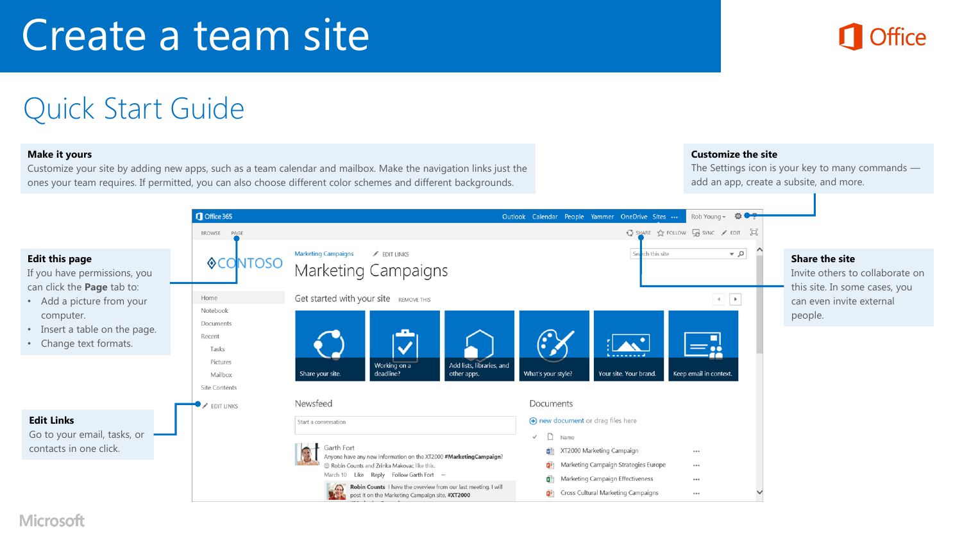# Create a team site



## Quick Start Guide

#### **Make it yours**

Customize your site by adding new apps, such as a team calendar and mailbox. Make the navigation links just the ones your team requires. If permitted, you can also choose different color schemes and different backgrounds.

#### **Customize the site**

The Settings icon is your key to many commands add an app, create a subsite, and more.



#### Microsoft